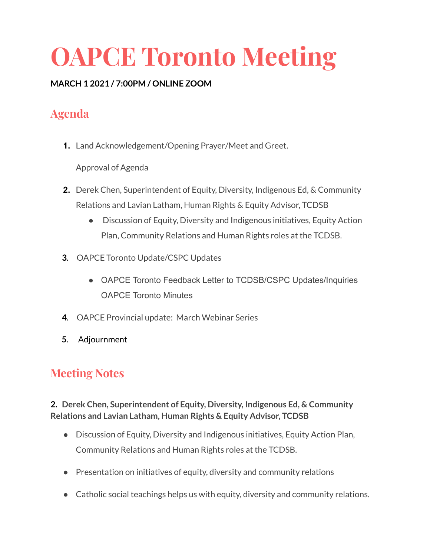# **OAPCE Toronto Meeting**

#### **MARCH 1 2021 / 7:00PM / ONLINE ZOOM**

## **Agenda**

**1.** Land Acknowledgement/Opening Prayer/Meet and Greet.

Approval of Agenda

- **2.** Derek Chen, Superintendent of Equity, Diversity, Indigenous Ed, & Community Relations and Lavian Latham, Human Rights & Equity Advisor, TCDSB
	- Discussion of Equity, Diversity and Indigenous initiatives, Equity Action Plan, Community Relations and Human Rights roles at the TCDSB.
- **3**. OAPCE Toronto Update/CSPC Updates
	- OAPCE Toronto Feedback Letter to TCDSB/CSPC Updates/Inquiries OAPCE Toronto Minutes
- **4**. OAPCE Provincial update: March Webinar Series
- **5**. Adjournment

## **Meeting Notes**

#### **2. Derek Chen, Superintendent of Equity, Diversity, Indigenous Ed, & Community Relations and Lavian Latham, Human Rights & Equity Advisor, TCDSB**

- Discussion of Equity, Diversity and Indigenous initiatives, Equity Action Plan, Community Relations and Human Rights roles at the TCDSB.
- Presentation on initiatives of equity, diversity and community relations
- Catholic social teachings helps us with equity, diversity and community relations.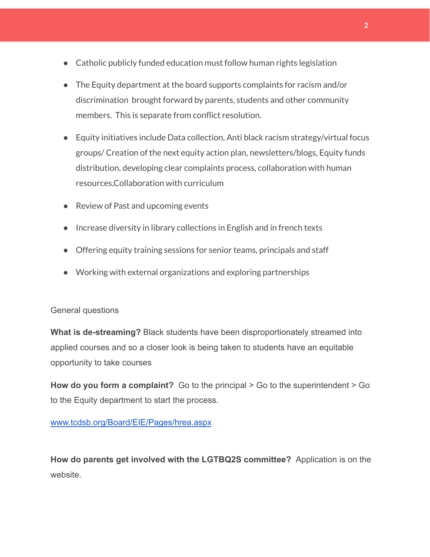- Catholic publicly funded education must follow human rights legislation
- The Equity department at the board supports complaints for racism and/or discrimination brought forward by parents, students and other community members. This is separate from conflict resolution.
- Equity initiatives include Data collection, Anti black racism strategy/virtual focus groups/ Creation of the next equity action plan, newsletters/blogs, Equity funds distribution, developing clear complaints process, collaboration with human resources,Collaboration with curriculum
- Review of Past and upcoming events
- Increase diversity in library collections in English and in french texts
- Offering equity training sessions for senior teams, principals and staff
- Working with external organizations and exploring partnerships

#### General questions

**What is de-streaming?** Black students have been disproportionately streamed into applied courses and so a closer look is being taken to students have an equitable opportunity to take courses

**How do you form a complaint?** Go to the principal > Go to the superintendent > Go to the Equity department to start the process.

[www.tcdsb.org/Board/EIE/Pages/hrea.aspx](http://www.tcdsb.org/Board/EIE/Pages/hrea.aspx)

**How do parents get involved with the LGTBQ2S committee?** Application is on the website.